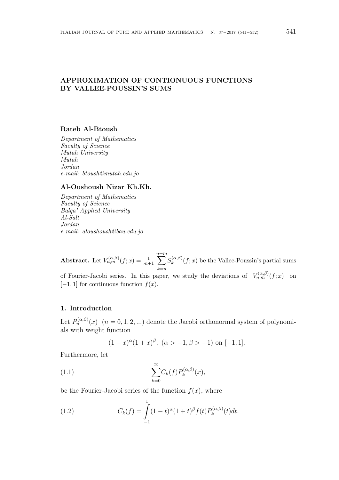# **APPROXIMATION OF CONTIONUOUS FUNCTIONS BY VALLEE-POUSSIN'S SUMS**

### **Rateb Al-Btoush**

*Department of Mathematics Faculty of Science Mutah University Mutah Jordan e-mail: btoush@mutah.edu.jo*

## **Al-Oushoush Nizar Kh.Kh.**

*Department of Mathematics Faculty of Science Balqa' Applied University Al-Salt Jordan e-mail: aloushoush@bau.edu.jo*

**Abstract.** Let  $V_{n,m}^{(\alpha,\beta)}(f;x) = \frac{1}{m+1} \sum_{m=1}^{n+m}$ *k*=*n*  $S_k^{(\alpha,\beta)}$  $f_k^{(\alpha,p)}(f; x)$  be the Vallee-Poussin's partial sums of Fourier-Jacobi series. In this paper, we study the deviations of  $V_{n,m}^{(\alpha,\beta)}(f;x)$  on  $[-1, 1]$  for continuous function  $f(x)$ .

## **1. Introduction**

Let  $P_n^{(\alpha,\beta)}(x)$   $(n = 0,1,2,...)$  denote the Jacobi orthonormal system of polynomials with weight function

$$
(1-x)^{\alpha}(1+x)^{\beta}, \ (\alpha > -1, \beta > -1)
$$
 on  $[-1,1]$ .

Furthermore, let

(1.1) 
$$
\sum_{k=0}^{\infty} C_k(f) P_k^{(\alpha,\beta)}(x),
$$

be the Fourier-Jacobi series of the function  $f(x)$ , where

(1.2) 
$$
C_k(f) = \int_{-1}^{1} (1-t)^{\alpha} (1+t)^{\beta} f(t) P_k^{(\alpha,\beta)}(t) dt.
$$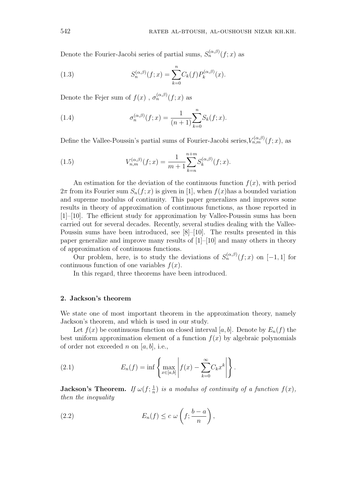Denote the Fourier-Jacobi series of partial sums,  $S_n^{(\alpha,\beta)}(f;x)$  as

(1.3) 
$$
S_n^{(\alpha,\beta)}(f;x) = \sum_{k=0}^n C_k(f) P_k^{(\alpha,\beta)}(x).
$$

Denote the Fejer sum of  $f(x)$ ,  $\sigma_n^{(\alpha,\beta)}(f; x)$  as

(1.4) 
$$
\sigma_n^{(\alpha,\beta)}(f;x) = \frac{1}{(n+1)} \sum_{k=0}^n S_k(f;x).
$$

Define the Vallee-Poussin's partial sums of Fourier-Jacobi series,  $V_{n,m}^{(\alpha,\beta)}(f;x)$ , as

(1.5) 
$$
V_{n,m}^{(\alpha,\beta)}(f;x) = \frac{1}{m+1} \sum_{k=n}^{n+m} S_k^{(\alpha,\beta)}(f;x).
$$

An estimation for the deviation of the continuous function  $f(x)$ , with period  $2\pi$  from its Fourier sum  $S_n(f; x)$  is given in [1], when  $f(x)$ has a bounded variation and supreme modulus of continuity. This paper generalizes and improves some results in theory of approximation of continuous functions, as those reported in [1]–[10]. The efficient study for approximation by Vallee-Poussin sums has been carried out for several decades. Recently, several studies dealing with the Vallee-Poussin sums have been introduced, see [8]–[10]. The results presented in this paper generalize and improve many results of [1]–[10] and many others in theory of approximation of continuous functions.

Our problem, here, is to study the deviations of  $S_n^{(\alpha,\beta)}(f;x)$  on [-1,1] for continuous function of one variables  $f(x)$ .

In this regard, three theorems have been introduced.

## **2. Jackson's theorem**

We state one of most important theorem in the approximation theory, namely Jackson's theorem, and which is used in our study.

Let  $f(x)$  be continuous function on closed interval [a, b]. Denote by  $E_n(f)$  the best uniform approximation element of a function  $f(x)$  by algebraic polynomials of order not exceeded *n* on [*a, b*], i.e.,

(2.1) 
$$
E_n(f) = \inf \left\{ \max_{x \in [a,b]} \left| f(x) - \sum_{k=0}^{\infty} C_k x^k \right| \right\}.
$$

**Jackson's Theorem.** If  $\omega(f; \frac{1}{n})$  $\frac{1}{n}$ ) *is a modulus of continuity of a function*  $f(x)$ *, then the inequality*

(2.2) 
$$
E_n(f) \leq c \omega \left( f; \frac{b-a}{n} \right),
$$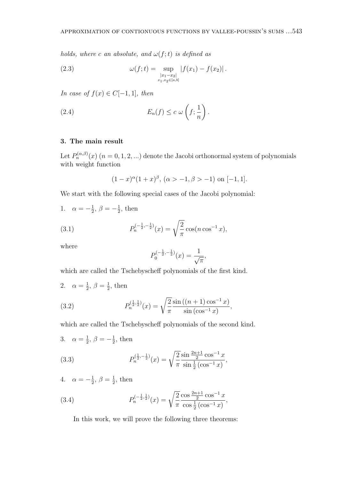*holds, where c an absolute, and*  $\omega(f; t)$  *is defined as* 

(2.3) 
$$
\omega(f;t) = \sup_{\substack{|x_1 - x_2|\\ x_1, x_2 \in [a,b]}} |f(x_1) - f(x_2)|.
$$

*In case of*  $f(x) \in C[-1, 1]$ *, then* 

(2.4) 
$$
E_n(f) \leq c \omega \left( f; \frac{1}{n} \right).
$$

## **3. The main result**

Let  $P_n^{(\alpha,\beta)}(x)$   $(n = 0,1,2,...)$  denote the Jacobi orthonormal system of polynomials with weight function

$$
(1-x)^{\alpha}(1+x)^{\beta}
$$
,  $(\alpha > -1, \beta > -1)$  on  $[-1,1]$ .

We start with the following special cases of the Jacobi polynomial:

1. 
$$
\alpha = -\frac{1}{2}, \beta = -\frac{1}{2}
$$
, then

(3.1) 
$$
P_n^{(-\frac{1}{2}, -\frac{1}{2})}(x) = \sqrt{\frac{2}{\pi}} \cos(n \cos^{-1} x),
$$

where

$$
P_0^{(-\frac{1}{2}, -\frac{1}{2})}(x) = \frac{1}{\sqrt{\pi}},
$$

which are called the Tschebyscheff polynomials of the first kind.

2.  $\alpha = \frac{1}{2}$  $\frac{1}{2}, \beta = \frac{1}{2}$  $\frac{1}{2}$ , then

(3.2) 
$$
P_n^{(\frac{1}{2},\frac{1}{2})}(x) = \sqrt{\frac{2}{\pi}} \frac{\sin((n+1)\cos^{-1}x)}{\sin(\cos^{-1}x)},
$$

which are called the Tschebyscheff polynomials of the second kind.

3. 
$$
\alpha = \frac{1}{2}, \beta = -\frac{1}{2}
$$
, then

(3.3) 
$$
P_n^{(\frac{1}{2}, -\frac{1}{2})}(x) = \sqrt{\frac{2}{\pi}} \frac{\sin \frac{2n+1}{2} \cos^{-1} x}{\sin \frac{1}{2} (\cos^{-1} x)},
$$

4.  $\alpha = -\frac{1}{2}$  $\frac{1}{2}, \beta = \frac{1}{2}$  $\frac{1}{2}$ , then

(3.4) 
$$
P_n^{(-\frac{1}{2},\frac{1}{2})}(x) = \sqrt{\frac{2}{\pi}} \frac{\cos \frac{2n+1}{2} \cos^{-1} x}{\cos \frac{1}{2} (\cos^{-1} x)},
$$

In this work, we will prove the following three theorems: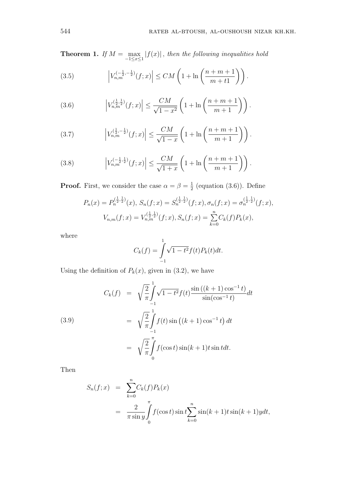**Theorem 1.** *If*  $M = \max$ *−*1*≤x≤*1  $|f(x)|$ , *then the following inequalities hold* 

(3.5) 
$$
\left| V_{n,m}^{(-\frac{1}{2},-\frac{1}{2})}(f;x) \right| \leq CM \left( 1 + \ln \left( \frac{n+m+1}{m+t1} \right) \right).
$$

(3.6) 
$$
\left| V_{n,m}^{(\frac{1}{2},\frac{1}{2})}(f;x) \right| \leq \frac{CM}{\sqrt{1-x^2}} \left( 1 + \ln \left( \frac{n+m+1}{m+1} \right) \right).
$$

(3.7) 
$$
\left| V_{n,m}^{(\frac{1}{2},-\frac{1}{2})}(f;x) \right| \leq \frac{CM}{\sqrt{1-x}} \left( 1 + \ln \left( \frac{n+m+1}{m+1} \right) \right).
$$

(3.8) 
$$
\left| V_{n,m}^{(-\frac{1}{2},\frac{1}{2})}(f;x) \right| \leq \frac{CM}{\sqrt{1+x}} \left( 1 + \ln \left( \frac{n+m+1}{m+1} \right) \right).
$$

**Proof.** First, we consider the case  $\alpha = \beta = \frac{1}{2}$  $\frac{1}{2}$  (equation (3.6)). Define

$$
P_n(x) = P_n^{(\frac{1}{2}, \frac{1}{2})}(x), S_n(f; x) = S_n^{(\frac{1}{2}, \frac{1}{2})}(f; x), \sigma_n(f; x) = \sigma_n^{(\frac{1}{2}, \frac{1}{2})}(f; x),
$$
  

$$
V_{n,m}(f; x) = V_{n,m}^{(\frac{1}{2}, \frac{1}{2})}(f; x), S_n(f; x) = \sum_{k=0}^n C_k(f) P_k(x),
$$

where

$$
C_k(f) = \int_{-1}^{1} \sqrt{1 - t^2} f(t) P_k(t) dt.
$$

Using the definition of  $P_k(x)$ , given in (3.2), we have

(3.9)  
\n
$$
C_k(f) = \sqrt{\frac{2}{\pi}} \int_{-1}^{1} \sqrt{1 - t^2} f(t) \frac{\sin((k+1)\cos^{-1}t)}{\sin(\cos^{-1}t)} dt
$$
\n
$$
= \sqrt{\frac{2}{\pi}} \int_{-1}^{1} f(t) \sin((k+1)\cos^{-1}t) dt
$$
\n
$$
= \sqrt{\frac{2}{\pi}} \int_{0}^{\pi} f(\cos t) \sin(k+1)t \sin t dt.
$$

Then

$$
S_n(f; x) = \sum_{k=0}^n C_k(f) P_k(x)
$$
  
= 
$$
\frac{2}{\pi \sin y} \int_0^{\pi} f(\cos t) \sin t \sum_{k=0}^n \sin(k+1)t \sin(k+1) y dt,
$$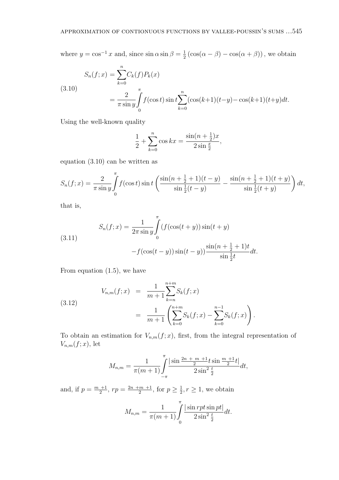where  $y = \cos^{-1} x$  and, since  $\sin \alpha \sin \beta = \frac{1}{2}$  $\frac{1}{2}$  (cos( $\alpha - \beta$ ) – cos( $\alpha + \beta$ )), we obtain

(3.10)  
\n
$$
S_n(f; x) = \sum_{k=0}^n C_k(f) P_k(x)
$$
\n
$$
= \frac{2}{\pi \sin y} \int_0^{\pi} f(\cos t) \sin t \sum_{k=0}^n (\cos(k+1)(t-y) - \cos(k+1)(t+y)dt.
$$

Using the well-known quality

$$
\frac{1}{2} + \sum_{k=0}^{n} \cos kx = \frac{\sin((n + \frac{1}{2})x)}{2\sin\frac{x}{2}},
$$

equation (3.10) can be written as

$$
S_n(f;x) = \frac{2}{\pi \sin y} \int_0^{\pi} f(\cos t) \sin t \left( \frac{\sin(n + \frac{1}{2} + 1)(t - y)}{\sin \frac{1}{2}(t - y)} - \frac{\sin(n + \frac{1}{2} + 1)(t + y)}{\sin \frac{1}{2}(t + y)} \right) dt,
$$

that is,

(3.11) 
$$
S_n(f; x) = \frac{1}{2\pi \sin y} \int_0^{\pi} (f(\cos(t+y))\sin(t+y)) \sin(t+y) - f(\cos(t-y))\sin(t-y) \frac{\sin(n+\frac{1}{2}+1)t}{\sin\frac{1}{2}t} dt.
$$

From equation (1.5), we have

(3.12) 
$$
V_{n,m}(f;x) = \frac{1}{m+1} \sum_{k=n}^{n+m} S_k(f;x)
$$

$$
= \frac{1}{m+1} \left( \sum_{k=0}^{n+m} S_k(f;x) - \sum_{k=0}^{n-1} S_k(f;x) \right).
$$

To obtain an estimation for  $V_{n,m}(f; x)$ , first, from the integral representation of  $V_{n,m}(f;x)$ , let

$$
M_{n,m} = \frac{1}{\pi(m+1)} \int_{-\pi}^{\pi} \frac{|\sin \frac{2n+m}{2} + \sin \frac{m+1}{2}t|}{2\sin^2 \frac{t}{2}} dt,
$$

and, if  $p = \frac{m+1}{2}$  $\frac{+1}{2}$ ,  $rp = \frac{2n + m + 1}{2}$  $\frac{m+1}{2}$ , for  $p \geq \frac{1}{2}$  $\frac{1}{2}, r \geq 1$ , we obtain

$$
M_{n,m} = \frac{1}{\pi(m+1)} \int_{0}^{\pi} \frac{|\sin rpt \sin pt|}{2 \sin^2 \frac{t}{2}} dt.
$$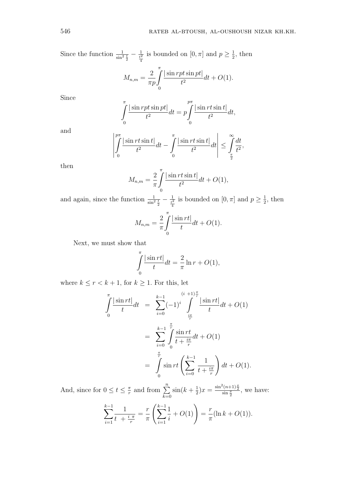Since the function  $\frac{1}{\sin^2 \frac{t}{2}} - \frac{1}{\frac{t^2}{4}}$ is bounded on  $[0, \pi]$  and  $p \geq \frac{1}{2}$  $\frac{1}{2}$ , then

$$
M_{n,m} = \frac{2}{\pi p} \int_{0}^{\pi} \frac{|\sin rpt \sin pt|}{t^2} dt + O(1).
$$

Since

$$
\int_{0}^{\pi} \frac{|\sin rpt \sin pt|}{t^2} dt = p \int_{0}^{p\pi} \frac{|\sin rt \sin t|}{t^2} dt,
$$

and

$$
\left| \int_{0}^{p\pi} \left| \frac{\sin rt \sin t}{t^2} dt - \int_{0}^{\pi} \left| \frac{\sin rt \sin t}{t^2} dt \right| \right| \leq \int_{\frac{\pi}{2}}^{\infty} \frac{dt}{t^2},\right|
$$

then

$$
M_{n,m} = \frac{2}{\pi} \int_{0}^{\pi} \frac{|\sin rt \sin t|}{t^2} dt + O(1),
$$

and again, since the function  $\frac{1}{\sin^2 \frac{t}{2}} - \frac{1}{\frac{t^2}{4}}$ is bounded on  $[0, \pi]$  and  $p \geq \frac{1}{2}$  $\frac{1}{2}$ , then

$$
M_{n,m} = \frac{2}{\pi} \int_{0}^{\pi} \frac{|\sin rt|}{t} dt + O(1).
$$

Next, we must show that

$$
\int_{0}^{\pi} \frac{|\sin rt|}{t} dt = \frac{2}{\pi} \ln r + O(1),
$$

where  $k \leq r < k+1$ , for  $k \geq 1$ . For this, let

$$
\int_{0}^{\pi} \frac{|\sin rt|}{t} dt = \sum_{i=0}^{k-1} (-1)^i \int_{\frac{i\pi}{r}}^{(i+1)\frac{\pi}{r}} \frac{|\sin rt|}{t} dt + O(1)
$$

$$
= \sum_{i=0}^{k-1} \int_{0}^{\frac{\pi}{r}} \frac{\sin rt}{t + \frac{i\pi}{r}} dt + O(1)
$$

$$
= \int_{0}^{\frac{\pi}{r}} \sin rt \left(\sum_{i=0}^{k-1} \frac{1}{t + \frac{i\pi}{r}}\right) dt + O(1).
$$

And, since for  $0 \le t \le \frac{\pi}{r}$  $\frac{\pi}{r}$  and from  $\sum_{n=1}^{\infty}$ *k*=0  $\sin(k+\frac{1}{2})$  $(\frac{1}{2})x = \frac{\sin^2(n+1)\frac{x}{2}}{\sin\frac{x}{2}},$  we have:

$$
\sum_{i=1}^{k-1} \frac{1}{t + \frac{i \pi}{r}} = \frac{r}{\pi} \left( \sum_{i=1}^{k-1} \frac{1}{i} + O(1) \right) = \frac{r}{\pi} (\ln k + O(1)).
$$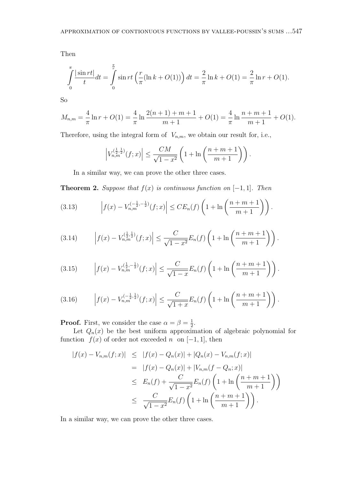Then

$$
\int_{0}^{\pi} \frac{|\sin rt|}{t} dt = \int_{0}^{\frac{\pi}{r}} \sin rt \left( \frac{r}{\pi} (\ln k + O(1)) \right) dt = \frac{2}{\pi} \ln k + O(1) = \frac{2}{\pi} \ln r + O(1).
$$

So

$$
M_{n,m} = \frac{4}{\pi} \ln r + O(1) = \frac{4}{\pi} \ln \frac{2(n+1) + m + 1}{m+1} + O(1) = \frac{4}{\pi} \ln \frac{n+m+1}{m+1} + O(1).
$$

Therefore, using the integral form of  $V_{n,m}$ , we obtain our result for, i.e.,

$$
\left| V_{n,m}^{\left(\frac{1}{2},\frac{1}{2}\right)}(f;x) \right| \leq \frac{CM}{\sqrt{1-x^2}} \left( 1 + \ln\left(\frac{n+m+1}{m+1}\right) \right).
$$

In a similar way, we can prove the other three cases.

**Theorem 2.** Suppose that  $f(x)$  is continuous function on  $[-1, 1]$ . Then

(3.13) 
$$
\left| f(x) - V_{n,m}^{(-\frac{1}{2},-\frac{1}{2})}(f;x) \right| \leq CE_n(f) \left( 1 + \ln \left( \frac{n+m+1}{m+1} \right) \right).
$$

(3.14) 
$$
\left| f(x) - V_{n,m}^{(\frac{1}{2},\frac{1}{2})}(f;x) \right| \leq \frac{C}{\sqrt{1-x^2}} E_n(f) \left( 1 + \ln \left( \frac{n+m+1}{m+1} \right) \right).
$$

(3.15) 
$$
\left| f(x) - V_{n,m}^{(\frac{1}{2}, -\frac{1}{2})}(f; x) \right| \leq \frac{C}{\sqrt{1-x}} E_n(f) \left( 1 + \ln \left( \frac{n+m+1}{m+1} \right) \right).
$$

(3.16) 
$$
\left| f(x) - V_{n,m}^{(-\frac{1}{2},\frac{1}{2})}(f;x) \right| \leq \frac{C}{\sqrt{1+x}} E_n(f) \left( 1 + \ln \left( \frac{n+m+1}{m+1} \right) \right).
$$

**Proof.** First, we consider the case  $\alpha = \beta = \frac{1}{2}$  $\frac{1}{2}$ .

Let  $Q_n(x)$  be the best uniform approximation of algebraic polynomial for function  $f(x)$  of order not exceeded *n* on [−1, 1], then

$$
|f(x) - V_{n,m}(f;x)| \leq |f(x) - Q_n(x)| + |Q_n(x) - V_{n,m}(f;x)|
$$
  
\n
$$
= |f(x) - Q_n(x)| + |V_{n,m}(f - Q_n; x)|
$$
  
\n
$$
\leq E_n(f) + \frac{C}{\sqrt{1 - x^2}} E_n(f) \left(1 + \ln\left(\frac{n + m + 1}{m + 1}\right)\right)
$$
  
\n
$$
\leq \frac{C}{\sqrt{1 - x^2}} E_n(f) \left(1 + \ln\left(\frac{n + m + 1}{m + 1}\right)\right).
$$

In a similar way, we can prove the other three cases.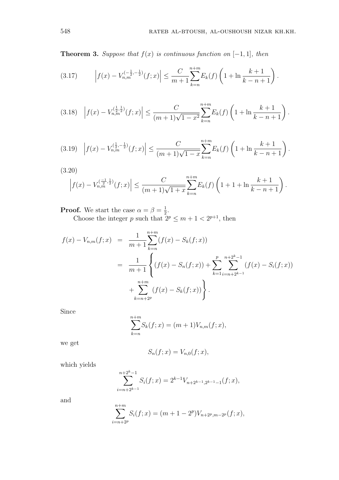**Theorem 3.** Suppose that  $f(x)$  is continuous function on  $[-1, 1]$ *, then* 

(3.17) 
$$
\left| f(x) - V_{n,m}^{(-\frac{1}{2}, -\frac{1}{2})}(f; x) \right| \leq \frac{C}{m+1} \sum_{k=n}^{n+m} E_k(f) \left( 1 + \ln \frac{k+1}{k-n+1} \right).
$$

$$
(3.18)\quad \left|f(x) - V_{n,m}^{(\frac{1}{2},\frac{1}{2})}(f;x)\right| \leq \frac{C}{(m+1)\sqrt{1-x^2}} \sum_{k=n}^{n+m} E_k(f) \left(1 + \ln\frac{k+1}{k-n+1}\right).
$$

$$
(3.19) \left| f(x) - V_{n,m}^{(\frac{1}{2}, -\frac{1}{2})}(f; x) \right| \leq \frac{C}{(m+1)\sqrt{1-x}} \sum_{k=n}^{n+m} E_k(f) \left( 1 + \ln \frac{k+1}{k-n+1} \right).
$$

(3.20)

$$
\left|f(x) - V_{n,m}^{(\frac{-1}{2},\frac{1}{2})}(f;x)\right| \leq \frac{C}{(m+1)\sqrt{1+x}} \sum_{k=n}^{n+m} E_k(f) \left(1 + 1 + \ln \frac{k+1}{k-n+1}\right).
$$

**Proof.** We start the case  $\alpha = \beta = \frac{1}{2}$  $\frac{1}{2}$ . Choose the integer *p* such that  $2^p \le m + 1 < 2^{p+1}$ , then

$$
f(x) - V_{n,m}(f;x) = \frac{1}{m+1} \sum_{k=n}^{n+m} (f(x) - S_k(f;x))
$$
  
= 
$$
\frac{1}{m+1} \left\{ (f(x) - S_n(f;x)) + \sum_{k=1}^{p} \sum_{i=n+2^{k-1}}^{n+2^{k}-1} (f(x) - S_i(f;x)) + \sum_{k=n+2^{p}}^{n+m} (f(x) - S_k(f;x)) \right\}.
$$

Since

$$
\sum_{k=n}^{n+m} S_k(f; x) = (m+1)V_{n,m}(f; x),
$$

we get

$$
S_n(f; x) = V_{n,0}(f; x),
$$

which yields

+*m*

$$
\sum_{i=n+2^{k-1}}^{n+2^{k}-1} S_i(f; x) = 2^{k-1} V_{n+2^{k-1},2^{k-1}-1}(f; x),
$$

and

$$
\sum_{i=n+2^p}^{n+m} S_i(f; x) = (m+1-2^p)V_{n+2^p, m-2^p}(f; x),
$$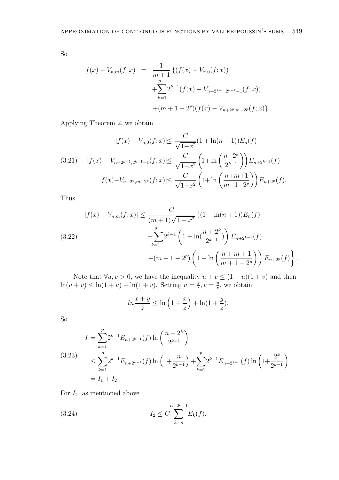So

$$
f(x) - V_{n,m}(f;x) = \frac{1}{m+1} \{ (f(x) - V_{n,0}(f;x))
$$
  
+ 
$$
\sum_{k=1}^{p} 2^{k-1} (f(x) - V_{n+2^{k-1},2^{k-1}-1}(f;x))
$$
  
+ 
$$
(m+1-2^{p})(f(x) - V_{n+2^{p},m-2^{p}}(f;x)).
$$

Applying Theorem 2, we obtain

$$
|f(x) - V_{n,0}(f;x)| \le \frac{C}{\sqrt{1-x^2}} (1 + \ln(n+1)) E_n(f)
$$
  
(3.21) 
$$
|f(x) - V_{n+2^{k-1},2^{k-1}-1}(f;x)| \le \frac{C}{\sqrt{1-x^2}} \left(1 + \ln\left(\frac{n+2^k}{2^{k-1}}\right)\right) E_{n+2^{k-1}}(f)
$$

$$
|f(x) - V_{n+2^p,m-2^p}(f;x)| \le \frac{C}{\sqrt{1-x^2}} \left(1 + \ln\left(\frac{n+m+1}{m+1-2^p}\right)\right) E_{n+2^p}(f).
$$

Thus

$$
|f(x) - V_{n,m}(f;x)| \leq \frac{C}{(m+1)\sqrt{1-x^2}} \left\{ (1 + \ln(n+1))E_n(f) + \sum_{k=1}^p 2^{k-1} \left( 1 + \ln(\frac{n+2^k}{2^{k-1}}) \right) E_{n+2^{k-1}}(f) + (m+1-2^p) \left( 1 + \ln\left(\frac{n+m+1}{m+1-2^p}\right) \right) E_{n+2^p}(f) \right\}.
$$

Note that  $\forall u, v > 0$ , we have the inequality  $u + v \leq (1 + u)(1 + v)$  and then  $\ln(u + v) \leq \ln(1 + u) + \ln(1 + v)$ . Setting  $u = \frac{x}{x}$  $\frac{x}{z}$ ,  $v = \frac{y}{z}$  $\frac{y}{z}$ , we obtain

$$
\ln\frac{x+y}{z} \le \ln\left(1+\frac{x}{z}\right) + \ln(1+\frac{y}{z}).
$$

So

$$
I = \sum_{k=1}^{p} 2^{k-1} E_{n+2^{k-1}}(f) \ln\left(\frac{n+2^k}{2^{k-1}}\right)
$$
  
\n(3.23)  
\n
$$
\leq \sum_{k=1}^{p} 2^{k-1} E_{n+2^{k-1}}(f) \ln\left(1 + \frac{n}{2^{k-1}}\right) + \sum_{k=1}^{p} 2^{k-1} E_{n+2^{k-1}}(f) \ln\left(1 + \frac{2^k}{2^{k-1}}\right)
$$
  
\n
$$
= I_1 + I_2.
$$

For  $I_2$ , as mentioned above

(3.24) 
$$
I_2 \leq C \sum_{k=n}^{n+2^p-1} E_k(f).
$$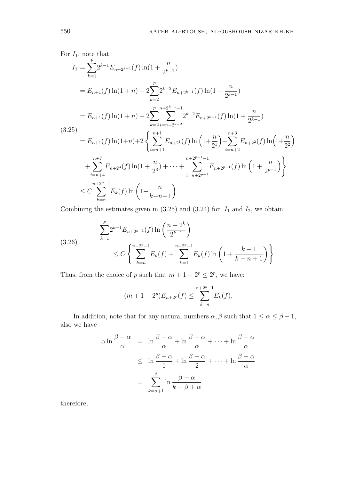For 
$$
I_1
$$
, note that  
\n
$$
I_1 = \sum_{k=1}^p 2^{k-1} E_{n+2^{k-1}}(f) \ln(1 + \frac{n}{2^{k-1}})
$$
\n
$$
= E_{n+1}(f) \ln(1+n) + 2 \sum_{k=2}^p 2^{k-2} E_{n+2^{k-1}}(f) \ln(1 + \frac{n}{2^{k-1}})
$$
\n
$$
= E_{n+1}(f) \ln(1+n) + 2 \sum_{k=2}^p \sum_{i=n+2^{k-2}}^{n+2^{k-1}-1} 2^{k-2} E_{n+2^{k-1}}(f) \ln(1 + \frac{n}{2^{k-1}})
$$
\n(3.25)\n
$$
= E_{n+1}(f) \ln(1+n) + 2 \left\{ \sum_{i=n+1}^{n+1} E_{n+2^{i}}(f) \ln\left(1 + \frac{n}{2^{i}}\right) + \sum_{i=n+2}^{n+3} E_{n+2^{i}}(f) \ln\left(1 + \frac{n}{2^{i}}\right) + \sum_{i=n+4}^{n+7} E_{n+2^{i}}(f) \ln(1 + \frac{n}{2^{i}}) + \sum_{i=n+4}^{n+2^{n-1}-1} E_{n+2^{n-1}}(f) \ln\left(1 + \frac{n}{2^{p-1}}\right) \right\}
$$
\n
$$
\leq C \sum_{k=n}^{n+2^{p}-1} E_k(f) \ln\left(1 + \frac{n}{k-n+1}\right).
$$

Combining the estimates given in  $(3.25)$  and  $(3.24)$  for  $I_1$  and  $I_2$ , we obtain

(3.26) 
$$
\sum_{k=1}^{p} 2^{k-1} E_{n+2^{k-1}}(f) \ln\left(\frac{n+2^k}{2^{k-1}}\right) \leq C \left\{ \sum_{k=n}^{n+2^p-1} E_k(f) + \sum_{k=1}^{n+2^p-1} E_k(f) \ln\left(1 + \frac{k+1}{k-n+1}\right) \right\}
$$

Thus, from the choice of *p* such that  $m + 1 - 2^p \le 2^p$ , we have:

$$
(m+1-2^{p})E_{n+2^{p}}(f) \leq \sum_{k=n}^{n+2^{p}-1} E_{k}(f).
$$

In addition, note that for any natural numbers  $\alpha, \beta$  such that  $1 \leq \alpha \leq \beta - 1$ , also we have

$$
\alpha \ln \frac{\beta - \alpha}{\alpha} = \ln \frac{\beta - \alpha}{\alpha} + \ln \frac{\beta - \alpha}{\alpha} + \dots + \ln \frac{\beta - \alpha}{\alpha}
$$
  

$$
\leq \ln \frac{\beta - \alpha}{1} + \ln \frac{\beta - \alpha}{2} + \dots + \ln \frac{\beta - \alpha}{\alpha}
$$
  

$$
= \sum_{k = \alpha + 1}^{\beta} \ln \frac{\beta - \alpha}{k - \beta + \alpha}
$$

therefore,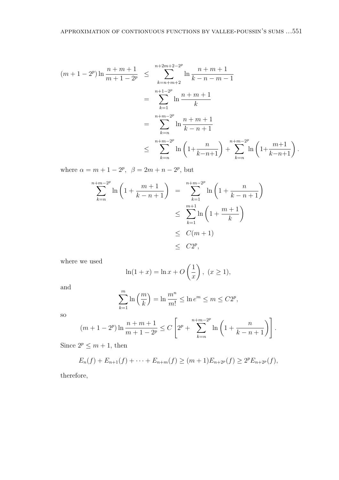$$
(m+1-2^{p})\ln\frac{n+m+1}{m+1-2^{p}} \leq \sum_{k=n+m+2}^{n+2m+2-2^{p}} \ln\frac{n+m+1}{k-n-m-1}
$$
  
= 
$$
\sum_{k=1}^{n+1-2^{p}} \ln\frac{n+m+1}{k}
$$
  
= 
$$
\sum_{k=n}^{n+m-2^{p}} \ln\frac{n+m+1}{k-n+1}
$$
  

$$
\leq \sum_{k=n}^{n+m-2^{p}} \ln\left(1+\frac{n}{k-n+1}\right) + \sum_{k=n}^{n+m-2^{p}} \ln\left(1+\frac{m+1}{k-n+1}\right).
$$

where  $\alpha = m + 1 - 2^p$ ,  $\beta = 2m + n - 2^p$ , but

$$
\sum_{k=n}^{n+m-2^{p}} \ln\left(1 + \frac{m+1}{k-n+1}\right) = \sum_{k=1}^{n+m-2^{p}} \ln\left(1 + \frac{n}{k-n+1}\right)
$$
  

$$
\leq \sum_{k=1}^{m+1} \ln\left(1 + \frac{m+1}{k}\right)
$$
  

$$
\leq C(m+1)
$$
  

$$
\leq C2^{p},
$$

where we used

$$
\ln(1+x) = \ln x + O\left(\frac{1}{x}\right), \ (x \ge 1),
$$

and

$$
\sum_{k=1}^{m} \ln\left(\frac{m}{k}\right) = \ln\frac{m^n}{m!} \le \ln e^m \le m \le C2^p,
$$

so

$$
(m+1-2^{p})\ln\frac{n+m+1}{m+1-2^{p}} \leq C\left[2^{p} + \sum_{k=n}^{n+m-2^{p}}\ln\left(1 + \frac{n}{k-n+1}\right)\right].
$$

Since  $2^p \le m + 1$ , then

$$
E_n(f) + E_{n+1}(f) + \cdots + E_{n+m}(f) \ge (m+1)E_{n+2^p}(f) \ge 2^p E_{n+2^p}(f),
$$

therefore,